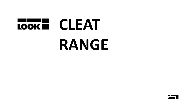

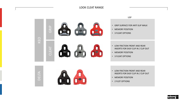# LOOK CLEAT RANGE



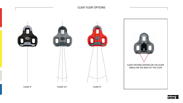# CLEAT FLOAT OPTIONS



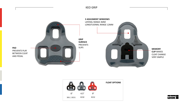KEO GRIP





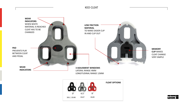KEO CLEAT





CLEAT CHANGE

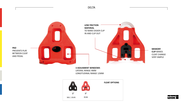**LOW FRICTION MATERIAL** TO MAKE EASIER CLIP IN AND CLIP OUT **MEMORY CLIP** MAKES CLEAT CHANGE VERY SIMPLE **PAD**  PREVENTS PLAY BETWEEN CLEAT AND PEDAL **3 ADJUSMENT WINDOWS**

DELTA

LATERAL RANGE 4MM LONGITUDINAL RANGE 12MM





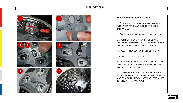# MEMORY CLIP













#### **HOW TO USE MEMORY CLIP ?**

1° / YOUR SHOE OUTSOLE HAS TO BE EQUIPED WITH A CENTER CHANNEL TO FIX THE LOOK MEMORY CLIP

2° / REMOVE THE RUBBER PAD FROM THE CLEAT

3°/ POSITION THE CLEAT ON THE SHOE AND SECURE THE MEMORY CLIP ON THE SHOE THANKS TO THE SCREW PROVIDED WITH YOUR SHOES

4°/ ADJUST THE CLEAT ON THE SHOE AND TIGHT IT

5°/ TIGHT THE MEMORY CLIP

6°/ RE-POSITION THE RUBBER PAD ON THE CLEAT. THE RUBBER PAD IS FLEXIBLE, A SLIGHT FEXION WILL POP IT BACK IN PLACE.

7°/ THEN WHEN YOU WILL NEED TO REPLACE THE CLEAT, THE MEMORY CLEAT WILL REMAIN IN PLACE AND ENSURE THE NEW CLEAT TO BE POSITIONNED EXACTLY AT THE SAME PLACE

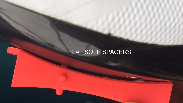# FLAT SOLE SPACERS